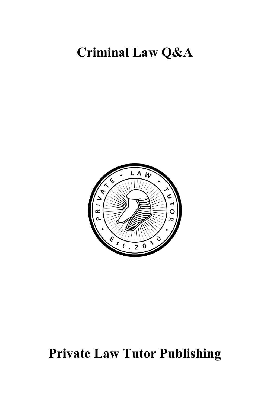## **Criminal Law Q&A**



# **Private Law Tutor Publishing**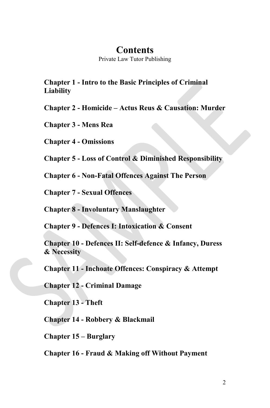### **Contents**

Private Law Tutor Publishing

**Chapter 1 - Intro to the Basic Principles of Criminal Liability**

**Chapter 2 - Homicide – Actus Reus & Causation: Murder**

**Chapter 3 - Mens Rea**

**Chapter 4 - Omissions**

**Chapter 5 - Loss of Control & Diminished Responsibility**

**Chapter 6 - Non-Fatal Offences Against The Person**

**Chapter 7 - Sexual Offences**

**Chapter 8 - Involuntary Manslaughter**

**Chapter 9 - Defences I: Intoxication & Consent**

**Chapter 10 - Defences II: Self-defence & Infancy, Duress & Necessity**

**Chapter 11 - Inchoate Offences: Conspiracy & Attempt**

**Chapter 12 - Criminal Damage**

**Chapter 13 - Theft**

**Chapter 14 - Robbery & Blackmail**

**Chapter 15 – Burglary**

**Chapter 16 - Fraud & Making off Without Payment**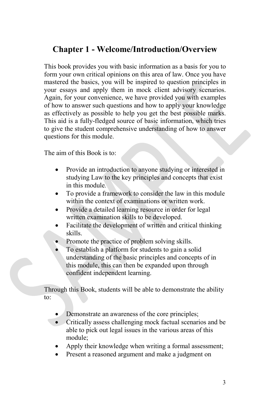### **Chapter 1 - Welcome/Introduction/Overview**

This book provides you with basic information as a basis for you to form your own critical opinions on this area of law. Once you have mastered the basics, you will be inspired to question principles in your essays and apply them in mock client advisory scenarios. Again, for your convenience, we have provided you with examples of how to answer such questions and how to apply your knowledge as effectively as possible to help you get the best possible marks. This aid is a fully-fledged source of basic information, which tries to give the student comprehensive understanding of how to answer questions for this module.

The aim of this Book is to:

- Provide an introduction to anyone studying or interested in studying Law to the key principles and concepts that exist in this module*.*
- To provide a framework to consider the law in this module within the context of examinations or written work.
- Provide a detailed learning resource in order for legal written examination skills to be developed.
- Facilitate the development of written and critical thinking skills.
- Promote the practice of problem solving skills.
- To establish a platform for students to gain a solid understanding of the basic principles and concepts of in this module, this can then be expanded upon through confident independent learning.

Through this Book, students will be able to demonstrate the ability to:

- Demonstrate an awareness of the core principles;
- Critically assess challenging mock factual scenarios and be able to pick out legal issues in the various areas of this module;
- Apply their knowledge when writing a formal assessment;
- Present a reasoned argument and make a judgment on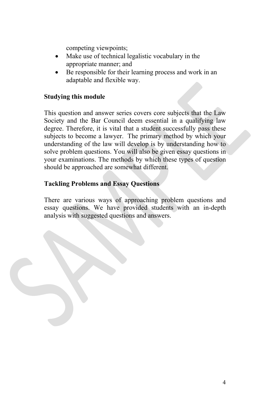competing viewpoints;

- Make use of technical legalistic vocabulary in the appropriate manner; and
- Be responsible for their learning process and work in an adaptable and flexible way.

### **Studying this module**

This question and answer series covers core subjects that the Law Society and the Bar Council deem essential in a qualifying law degree. Therefore, it is vital that a student successfully pass these subjects to become a lawyer. The primary method by which your understanding of the law will develop is by understanding how to solve problem questions. You will also be given essay questions in your examinations. The methods by which these types of question should be approached are somewhat different.

### **Tackling Problems and Essay Questions**

There are various ways of approaching problem questions and essay questions. We have provided students with an in-depth analysis with suggested questions and answers.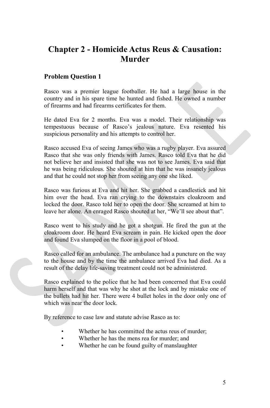### **Chapter 2 - Homicide Actus Reus & Causation: Murder**

### **Problem Question 1**

Rasco was a premier league footballer. He had a large house in the country and in his spare time he hunted and fished. He owned a number of firearms and had firearms certificates for them.

He dated Eva for 2 months. Eva was a model. Their relationship was tempestuous because of Rasco's jealous nature. Eva resented his suspicious personality and his attempts to control her.

Rasco accused Eva of seeing James who was a rugby player. Eva assured Rasco that she was only friends with James. Rasco told Eva that he did not believe her and insisted that she was not to see James. Eva said that he was being ridiculous. She shouted at him that he was insanely jealous and that he could not stop her from seeing any one she liked.

Rasco was furious at Eva and hit her. She grabbed a candlestick and hit him over the head. Eva ran crying to the downstairs cloakroom and locked the door. Rasco told her to open the door. She screamed at him to leave her alone. An enraged Rasco shouted at her, "We'll see about that".

Rasco went to his study and he got a shotgun. He fired the gun at the cloakroom door. He heard Eva scream in pain. He kicked open the door and found Eva slumped on the floor in a pool of blood.

Rasco called for an ambulance. The ambulance had a puncture on the way to the house and by the time the ambulance arrived Eva had died. As a result of the delay life-saving treatment could not be administered.

Rasco explained to the police that he had been concerned that Eva could harm herself and that was why he shot at the lock and by mistake one of the bullets had hit her. There were 4 bullet holes in the door only one of which was near the door lock.

By reference to case law and statute advise Rasco as to:

- Whether he has committed the actus reus of murder;
- Whether he has the mens rea for murder; and
- Whether he can be found guilty of manslaughter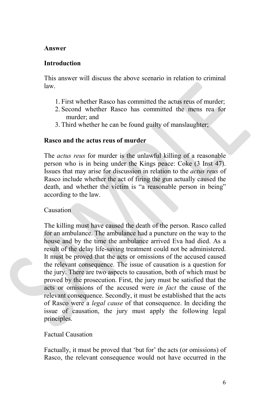#### **Answer**

### **Introduction**

This answer will discuss the above scenario in relation to criminal law.

- 1. First whether Rasco has committed the actus reus of murder;
- 2. Second whether Rasco has committed the mens rea for murder; and
- 3. Third whether he can be found guilty of manslaughter;

### **Rasco and the actus reus of murder**

The *actus reus* for murder is the unlawful killing of a reasonable person who is in being under the Kings peace: Coke (3 Inst 47). Issues that may arise for discussion in relation to the *actus reus* of Rasco include whether the act of firing the gun actually caused the death, and whether the victim is "a reasonable person in being" according to the law.

### Causation

The killing must have caused the death of the person. Rasco called for an ambulance. The ambulance had a puncture on the way to the house and by the time the ambulance arrived Eva had died. As a result of the delay life-saving treatment could not be administered. It must be proved that the acts or omissions of the accused caused the relevant consequence. The issue of causation is a question for the jury. There are two aspects to causation, both of which must be proved by the prosecution. First, the jury must be satisfied that the acts or omissions of the accused were *in fact* the cause of the relevant consequence. Secondly, it must be established that the acts of Rasco were a *legal cause* of that consequence. In deciding the issue of causation, the jury must apply the following legal principles.

### Factual Causation

Factually, it must be proved that 'but for' the acts (or omissions) of Rasco, the relevant consequence would not have occurred in the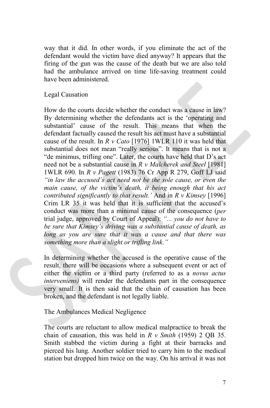way that it did. In other words, if you eliminate the act of the defendant would the victim have died anyway? It appears that the firing of the gun was the cause of the death but we are also told had the ambulance arrived on time life-saving treatment could have been administered.

Legal Causation

How do the courts decide whether the conduct was a cause in law? By determining whether the defendants act is the 'operating and substantial' cause of the result. This means that when the defendant factually caused the result his act must have a substantial cause of the result. In *R v Cato* [1976] 1WLR 110 it was held that substantial does not mean "really serious". It means that is not a "de minimus, trifling one". Later, the courts have held that D's act need not be a substantial cause in *R v Malcherek and Steel* [1981] 1WLR 690. In *R v Pagett* (1983) 76 Cr App R 279, Goff LJ said *"in law the accused's act need not be the sole cause, or even the main cause, of the victim's death, it being enough that his act contributed significantly to that result.'* And in *R v Kimsey* [1996] Crim LR 35 it was held that it is sufficient that the accused's conduct was more than a minimal cause of the consequence (*per* trial judge, approved by Court of Appeal): *"... you do not have to be sure that Kimsey's driving was a substantial cause of death, as long as you are sure that it was a cause and that there was something more than a slight or trifling link."*

In determining whether the accused is the operative cause of the result, there will be occasions where a subsequent event or act of either the victim or a third party (referred to as a *novus actus interveniens*) will render the defendants part in the consequence very small. It is then said that the chain of causation has been broken, and the defendant is not legally liable.

The Ambulances Medical Negligence

The courts are reluctant to allow medical malpractice to break the chain of causation, this was held in *R v Smith* (1959) 2 QB 35. Smith stabbed the victim during a fight at their barracks and pierced his lung. Another soldier tried to carry him to the medical station but dropped him twice on the way. On his arrival it was not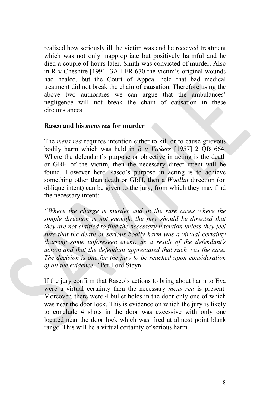realised how seriously ill the victim was and he received treatment which was not only inappropriate but positively harmful and he died a couple of hours later. Smith was convicted of murder. Also in R v Cheshire [1991] 3All ER 670 the victim's original wounds had healed, but the Court of Appeal held that bad medical treatment did not break the chain of causation. Therefore using the above two authorities we can argue that the ambulances' negligence will not break the chain of causation in these circumstances.

#### **Rasco and his** *mens rea* **for murder**

The *mens rea* requires intention either to kill or to cause grievous bodily harm which was held in *R v Vickers* [1957] 2 QB 664. Where the defendant's purpose or objective in acting is the death or GBH of the victim, then the necessary direct intent will be found. However here Rasco's purpose in acting is to achieve something other than death or GBH, then a *Woollin* direction (on oblique intent) can be given to the jury, from which they may find the necessary intent:

*"Where the charge is murder and in the rare cases where the simple direction is not enough, the jury should be directed that they are not entitled to find the necessary intention unless they feel sure that the death or serious bodily harm was a virtual certainty (barring some unforeseen event) as a result of the defendant's action and that the defendant appreciated that such was the case. The decision is one for the jury to be reached upon consideration of all the evidence."* Per Lord Steyn.

If the jury confirm that Rasco's actions to bring about harm to Eva were a virtual certainty then the necessary *mens rea* is present. Moreover, there were 4 bullet holes in the door only one of which was near the door lock. This is evidence on which the jury is likely to conclude 4 shots in the door was excessive with only one located near the door lock which was fired at almost point blank range. This will be a virtual certainty of serious harm.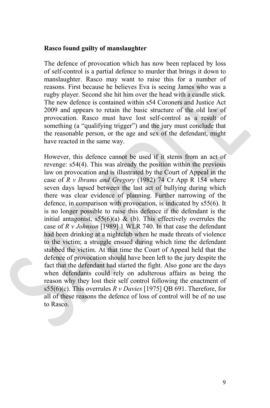#### **Rasco found guilty of manslaughter**

The defence of provocation which has now been replaced by loss of self-control is a partial defence to murder that brings it down to manslaughter. Rasco may want to raise this for a number of reasons. First because he believes Eva is seeing James who was a rugby player. Second she hit him over the head with a candle stick. The new defence is contained within s54 Coroners and Justice Act 2009 and appears to retain the basic structure of the old law of provocation. Rasco must have lost self-control as a result of something (a "qualifying trigger") and the jury must conclude that the reasonable person, or the age and sex of the defendant, might have reacted in the same way.

However, this defence cannot be used if it stems from an act of revenge: s54(4). This was already the position within the previous law on provocation and is illustrated by the Court of Appeal in the case of *R v Ibrams and Gregory* (1982) 74 Cr App R 154 where seven days lapsed between the last act of bullying during which there was clear evidence of planning. Further narrowing of the defence, in comparison with provocation, is indicated by s55(6). It is no longer possible to raise this defence if the defendant is the initial antagonist,  $s55(6)(a)$  & (b). This effectively overrules the case of *R v Johnson* [1989] 1 WLR 740. In that case the defendant had been drinking at a nightclub when he made threats of violence to the victim; a struggle ensued during which time the defendant stabbed the victim. At that time the Court of Appeal held that the defence of provocation should have been left to the jury despite the fact that the defendant had started the fight. Also gone are the days when defendants could rely on adulterous affairs as being the reason why they lost their self control following the enactment of s55(6)(c). This overrules *R v Davies* [1975] QB 691. Therefore, for all of these reasons the defence of loss of control will be of no use to Rasco.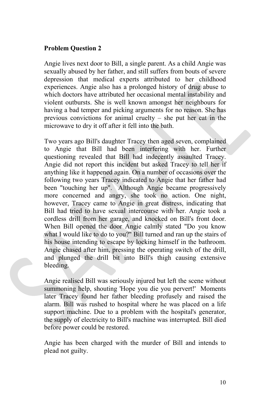### **Problem Question 2**

Angie lives next door to Bill, a single parent. As a child Angie was sexually abused by her father, and still suffers from bouts of severe depression that medical experts attributed to her childhood experiences. Angie also has a prolonged history of drug abuse to which doctors have attributed her occasional mental instability and violent outbursts. She is well known amongst her neighbours for having a bad temper and picking arguments for no reason. She has previous convictions for animal cruelty – she put her cat in the microwave to dry it off after it fell into the bath.

Two years ago Bill's daughter Tracey then aged seven, complained to Angie that Bill had been interfering with her. Further questioning revealed that Bill had indecently assaulted Tracey. Angie did not report this incident but asked Tracey to tell her if anything like it happened again. On a number of occasions over the following two years Tracey indicated to Angie that her father had been "touching her up". Although Angie became progressively more concerned and angry, she took no action. One night, however, Tracey came to Angie in great distress, indicating that Bill had tried to have sexual intercourse with her. Angie took a cordless drill from her garage, and knocked on Bill's front door. When Bill opened the door Angie calmly stated "Do you know what I would like to do to you?" Bill turned and ran up the stairs of his house intending to escape by locking himself in the bathroom. Angie chased after him, pressing the operating switch of the drill, and plunged the drill bit into Bill's thigh causing extensive bleeding.

Angie realised Bill was seriously injured but left the scene without summoning help, shouting 'Hope you die you pervert!' Moments later Tracey found her father bleeding profusely and raised the alarm. Bill was rushed to hospital where he was placed on a life support machine. Due to a problem with the hospital's generator, the supply of electricity to Bill's machine was interrupted. Bill died before power could be restored.

Angie has been charged with the murder of Bill and intends to plead not guilty.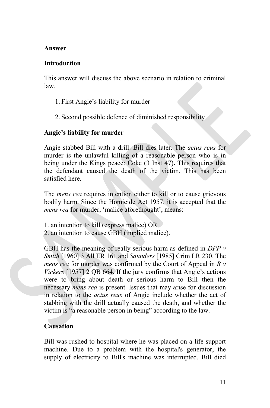### **Answer**

### **Introduction**

This answer will discuss the above scenario in relation to criminal law.

- 1. First Angie's liability for murder
- 2. Second possible defence of diminished responsibility

### **Angie's liability for murder**

Angie stabbed Bill with a drill. Bill dies later. The *actus reus* for murder is the unlawful killing of a reasonable person who is in being under the Kings peace: Coke (3 Inst 47)**.** This requires that the defendant caused the death of the victim. This has been satisfied here.

The *mens rea* requires intention either to kill or to cause grievous bodily harm. Since the Homicide Act 1957, it is accepted that the *mens rea* for murder, 'malice aforethought', means:

1. an intention to kill (express malice) OR

2. an intention to cause GBH (implied malice).

GBH has the meaning of really serious harm as defined in *DPP v Smith* [1960] 3 All ER 161 and *Saunders* [1985] Crim LR 230. The *mens rea* for murder was confirmed by the Court of Appeal in *R v Vickers* [1957] 2 QB 664. If the jury confirms that Angie's actions were to bring about death or serious harm to Bill then the necessary *mens rea* is present. Issues that may arise for discussion in relation to the *actus reus* of Angie include whether the act of stabbing with the drill actually caused the death, and whether the victim is "a reasonable person in being" according to the law.

### **Causation**

Bill was rushed to hospital where he was placed on a life support machine. Due to a problem with the hospital's generator, the supply of electricity to Bill's machine was interrupted. Bill died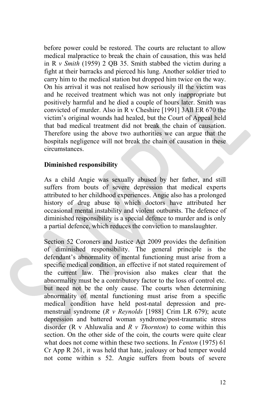before power could be restored. The courts are reluctant to allow medical malpractice to break the chain of causation, this was held in R *v Smith* (1959) 2 QB 35. Smith stabbed the victim during a fight at their barracks and pierced his lung. Another soldier tried to carry him to the medical station but dropped him twice on the way. On his arrival it was not realised how seriously ill the victim was and he received treatment which was not only inappropriate but positively harmful and he died a couple of hours later. Smith was convicted of murder. Also in R v Cheshire [1991] 3All ER 670 the victim's original wounds had healed, but the Court of Appeal held that bad medical treatment did not break the chain of causation. Therefore using the above two authorities we can argue that the hospitals negligence will not break the chain of causation in these circumstances.

### **Diminished responsibility**

As a child Angie was sexually abused by her father, and still suffers from bouts of severe depression that medical experts attributed to her childhood experiences. Angie also has a prolonged history of drug abuse to which doctors have attributed her occasional mental instability and violent outbursts. The defence of diminished responsibility is a special defence to murder and is only a partial defence, which reduces the conviction to manslaughter.

Section 52 Coroners and Justice Act 2009 provides the definition of diminished responsibility. The general principle is the defendant's abnormality of mental functioning must arise from a specific medical condition, an effective if not stated requirement of the current law. The provision also makes clear that the abnormality must be a contributory factor to the loss of control etc. but need not be the only cause. The courts when determining abnormality of mental functioning must arise from a specific medical condition have held post-natal depression and premenstrual syndrome (*R v Reynolds* [1988] Crim LR 679); acute depression and battered woman syndrome/post-traumatic stress disorder (R v Ahluwalia and *R v Thornton*) to come within this section. On the other side of the coin, the courts were quite clear what does not come within these two sections. In *Fenton* (1975) 61 Cr App R 261, it was held that hate, jealousy or bad temper would not come within s 52. Angie suffers from bouts of severe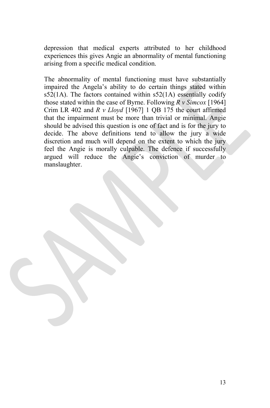depression that medical experts attributed to her childhood experiences this gives Angie an abnormality of mental functioning arising from a specific medical condition.

The abnormality of mental functioning must have substantially impaired the Angela's ability to do certain things stated within  $s52(1)$ . The factors contained within  $s52(1)$  essentially codify those stated within the case of Byrne. Following *R v Simcox* [1964] Crim LR 402 and *R v Lloyd* [1967] 1 QB 175 the court affirmed that the impairment must be more than trivial or minimal. Angie should be advised this question is one of fact and is for the jury to decide. The above definitions tend to allow the jury a wide discretion and much will depend on the extent to which the jury feel the Angie is morally culpable. The defence if successfully argued will reduce the Angie's conviction of murder to manslaughter.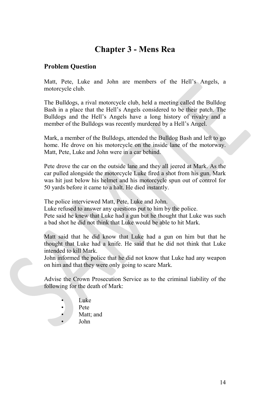### **Chapter 3 - Mens Rea**

### **Problem Question**

Matt, Pete, Luke and John are members of the Hell's Angels, a motorcycle club.

The Bulldogs, a rival motorcycle club, held a meeting called the Bulldog Bash in a place that the Hell's Angels considered to be their patch. The Bulldogs and the Hell's Angels have a long history of rivalry and a member of the Bulldogs was recently murdered by a Hell's Angel.

Mark, a member of the Bulldogs, attended the Bulldog Bash and left to go home. He drove on his motorcycle on the inside lane of the motorway. Matt, Pete, Luke and John were in a car behind.

Pete drove the car on the outside lane and they all jeered at Mark. As the car pulled alongside the motorcycle Luke fired a shot from his gun. Mark was hit just below his helmet and his motorcycle spun out of control for 50 yards before it came to a halt. He died instantly.

The police interviewed Matt, Pete, Luke and John.

Luke refused to answer any questions put to him by the police.

Pete said he knew that Luke had a gun but he thought that Luke was such a bad shot he did not think that Luke would be able to hit Mark.

Matt said that he did know that Luke had a gun on him but that he thought that Luke had a knife. He said that he did not think that Luke intended to kill Mark.

John informed the police that he did not know that Luke had any weapon on him and that they were only going to scare Mark.

Advise the Crown Prosecution Service as to the criminal liability of the following for the death of Mark:

- Luke
- Pete
- Matt; and
- John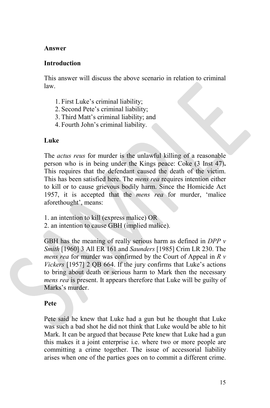### **Answer**

### **Introduction**

This answer will discuss the above scenario in relation to criminal law.

- 1. First Luke's criminal liability;
- 2. Second Pete's criminal liability;
- 3. Third Matt's criminal liability; and
- 4. Fourth John's criminal liability.

### **Luke**

The *actus reus* for murder is the unlawful killing of a reasonable person who is in being under the Kings peace: Coke (3 Inst 47)**.** This requires that the defendant caused the death of the victim. This has been satisfied here. The *mens rea* requires intention either to kill or to cause grievous bodily harm. Since the Homicide Act 1957, it is accepted that the *mens rea* for murder, 'malice aforethought', means:

- 1. an intention to kill (express malice) OR
- 2. an intention to cause GBH (implied malice).

GBH has the meaning of really serious harm as defined in *DPP v Smith* [1960] 3 All ER 161 and *Saunders* [1985] Crim LR 230. The *mens rea* for murder was confirmed by the Court of Appeal in *R v Vickers* [1957] 2 QB 664. If the jury confirms that Luke's actions to bring about death or serious harm to Mark then the necessary *mens rea* is present. It appears therefore that Luke will be guilty of Marks's murder.

### **Pete**

Pete said he knew that Luke had a gun but he thought that Luke was such a bad shot he did not think that Luke would be able to hit Mark. It can be argued that because Pete knew that Luke had a gun this makes it a joint enterprise i.e. where two or more people are committing a crime together. The issue of accessorial liability arises when one of the parties goes on to commit a different crime.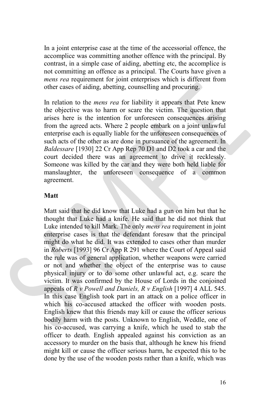In a joint enterprise case at the time of the accessorial offence, the accomplice was committing another offence with the principal. By contrast, in a simple case of aiding, abetting etc, the accomplice is not committing an offence as a principal. The Courts have given a *mens rea* requirement for joint enterprises which is different from other cases of aiding, abetting, counselling and procuring.

In relation to the *mens rea* for liability it appears that Pete knew the objective was to harm or scare the victim. The question that arises here is the intention for unforeseen consequences arising from the agreed acts. Where 2 people embark on a joint unlawful enterprise each is equally liable for the unforeseen consequences of such acts of the other as are done in pursuance of the agreement. In *Baldessare* [1930] 22 Cr App Rep 70 D1 and D2 took a car and the court decided there was an agreement to drive it recklessly. Someone was killed by the car and they were both held liable for manslaughter, the unforeseen consequence of a common agreement.

### **Matt**

Matt said that he did know that Luke had a gun on him but that he thought that Luke had a knife. He said that he did not think that Luke intended to kill Mark. The only *mens rea* requirement in joint enterprise cases is that the defendant foresaw that the principal might do what he did. It was extended to cases other than murder in *Roberts* [1993] 96 Cr App R 291 where the Court of Appeal said the rule was of general application, whether weapons were carried or not and whether the object of the enterprise was to cause physical injury or to do some other unlawful act, e.g. scare the victim. It was confirmed by the House of Lords in the conjoined appeals of *R v Powell and Daniels, R v English* [1997] 4 ALL 545. In this case English took part in an attack on a police officer in which his co-accused attacked the officer with wooden posts. English knew that this friends may kill or cause the officer serious bodily harm with the posts. Unknown to English, Weddle, one of his co-accused, was carrying a knife, which he used to stab the officer to death. English appealed against his conviction as an accessory to murder on the basis that, although he knew his friend might kill or cause the officer serious harm, he expected this to be done by the use of the wooden posts rather than a knife, which was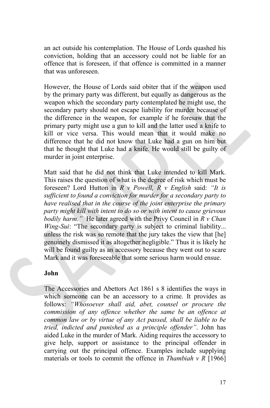an act outside his contemplation. The House of Lords quashed his conviction, holding that an accessory could not be liable for an offence that is foreseen, if that offence is committed in a manner that was unforeseen.

However, the House of Lords said obiter that if the weapon used by the primary party was different, but equally as dangerous as the weapon which the secondary party contemplated he might use, the secondary party should not escape liability for murder because of the difference in the weapon, for example if he foresaw that the primary party might use a gun to kill and the latter used a knife to kill or vice versa. This would mean that it would make no difference that he did not know that Luke had a gun on him but that he thought that Luke had a knife. He would still be guilty of murder in joint enterprise.

Matt said that he did not think that Luke intended to kill Mark. This raises the question of what is the degree of risk which must be foreseen? Lord Hutton in *R v Powell, R v English* said: *"It is sufficient to found a conviction for murder for a secondary party to have realised that in the course of the joint enterprise the primary party might kill with intent to do so or with intent to cause grievous bodily harm."* He later agreed with the Privy Council in *R v Chan Wing-Sui*: "The secondary party is subject to criminal liability... unless the risk was so remote that the jury takes the view that [he] genuinely dismissed it as altogether negligible." Thus it is likely he will be found guilty as an accessory because they went out to scare Mark and it was foreseeable that some serious harm would ensue.

### **John**

The Accessories and Abettors Act 1861 s 8 identifies the ways in which someone can be an accessory to a crime. It provides as follows: *"Whosoever shall aid, abet, counsel or procure the commission of any offence whether the same be an offence at common law or by virtue of any Act passed, shall be liable to be tried, indicted and punished as a principle offender"*. John has aided Luke in the murder of Mark. Aiding requires the accessory to give help, support or assistance to the principal offender in carrying out the principal offence. Examples include supplying materials or tools to commit the offence in *Thambiah v R* [1966]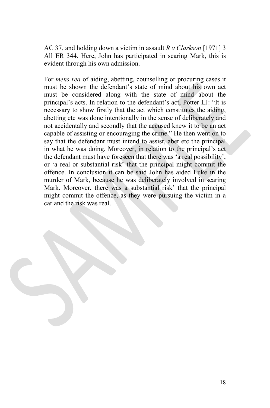AC 37, and holding down a victim in assault *R v Clarkson* [1971] 3 All ER 344. Here, John has participated in scaring Mark, this is evident through his own admission.

For *mens rea* of aiding, abetting, counselling or procuring cases it must be shown the defendant's state of mind about his own act must be considered along with the state of mind about the principal's acts. In relation to the defendant's act, Potter LJ: "It is necessary to show firstly that the act which constitutes the aiding, abetting etc was done intentionally in the sense of deliberately and not accidentally and secondly that the accused knew it to be an act capable of assisting or encouraging the crime." He then went on to say that the defendant must intend to assist, abet etc the principal in what he was doing. Moreover, in relation to the principal's act the defendant must have foreseen that there was 'a real possibility', or 'a real or substantial risk' that the principal might commit the offence. In conclusion it can be said John has aided Luke in the murder of Mark, because he was deliberately involved in scaring Mark. Moreover, there was a substantial risk' that the principal might commit the offence, as they were pursuing the victim in a car and the risk was real.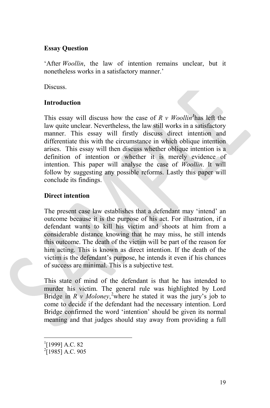### **Essay Question**

'After *Woollin*, the law of intention remains unclear, but it nonetheless works in a satisfactory manner.'

Discuss.

### **Introduction**

This essay will discuss how the case of *R v Woollin[1](#page-18-0)* has left the law quite unclear. Nevertheless, the law still works in a satisfactory manner. This essay will firstly discuss direct intention and differentiate this with the circumstance in which oblique intention arises. This essay will then discuss whether oblique intention is a definition of intention or whether it is merely evidence of intention. This paper will analyse the case of *Woollin*. It will follow by suggesting any possible reforms. Lastly this paper will conclude its findings.

### **Direct intention**

The present case law establishes that a defendant may 'intend' an outcome because it is the purpose of his act. For illustration, if a defendant wants to kill his victim and shoots at him from a considerable distance knowing that he may miss, he still intends this outcome. The death of the victim will be part of the reason for him acting. This is known as direct intention. If the death of the victim is the defendant's purpose, he intends it even if his chances of success are minimal. This is a subjective test.

This state of mind of the defendant is that he has intended to murder his victim. The general rule was highlighted by Lord Bridge in *R v Moloney*, [2](#page-18-1) where he stated it was the jury's job to come to decide if the defendant had the necessary intention. Lord Bridge confirmed the word 'intention' should be given its normal meaning and that judges should stay away from providing a full

 $\frac{1}{1}$  $^{1}$ [1999] A.C. 82

<span id="page-18-1"></span><span id="page-18-0"></span> $^{2}$ [1985] A.C. 905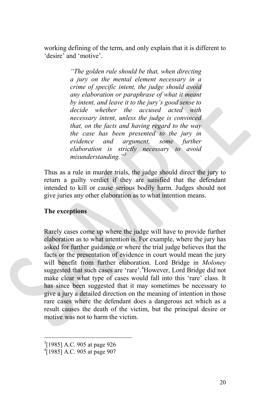working defining of the term, and only explain that it is different to 'desire' and 'motive'.

> *"The golden rule should be that, when directing a jury on the mental element necessary in a crime of specific intent, the judge should avoid any elaboration or paraphrase of what it meant by intent, and leave it to the jury's good sense to decide whether the accused acted with necessary intent, unless the judge is convinced that, on the facts and having regard to the way the case has been presented to the jury in evidence and argument, some further elaboration is strictly necessary to avoid misunderstanding."[3](#page-19-0)*

Thus as a rule in murder trials, the judge should direct the jury to return a guilty verdict if they are satisfied that the defendant intended to kill or cause serious bodily harm. Judges should not give juries any other elaboration as to what intention means.

### **The exceptions**

Rarely cases come up where the judge will have to provide further elaboration as to what intention is. For example, where the jury has asked for further guidance or where the trial judge believes that the facts or the presentation of evidence in court would mean the jury will benefit from further elaboration. Lord Bridge in *Moloney* suggested that such cases are 'rare'.<sup>[4](#page-19-1)</sup>However, Lord Bridge did not make clear what type of cases would fall into this 'rare' class. It has since been suggested that it may sometimes be necessary to give a jury a detailed direction on the meaning of intention in those rare cases where the defendant does a dangerous act which as a result causes the death of the victim, but the principal desire or motive was not to harm the victim.

<sup>&</sup>lt;sup>2</sup><br>3  $^{3}$ [1985] A.C. 905 at page 926

<span id="page-19-1"></span><span id="page-19-0"></span> $^{4}$ [1985] A.C. 905 at page 907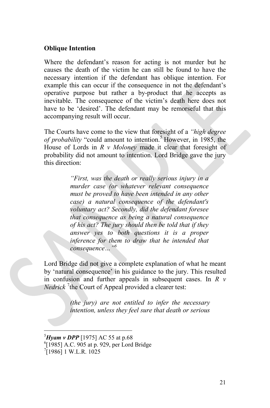#### **Oblique Intention**

Where the defendant's reason for acting is not murder but he causes the death of the victim he can still be found to have the necessary intention if the defendant has oblique intention. For example this can occur if the consequence in not the defendant's operative purpose but rather a by-product that he accepts as inevitable. The consequence of the victim's death here does not have to be 'desired'. The defendant may be remorseful that this accompanying result will occur.

The Courts have come to the view that foresight of a *"high degree of probability* "could amount to intention.[5](#page-20-0) However, in 1985, the House of Lords in *R v Moloney* made it clear that foresight of probability did not amount to intention. Lord Bridge gave the jury this direction:

> *"First, was the death or really serious injury in a murder case (or whatever relevant consequence must be proved to have been intended in any other case) a natural consequence of the defendant's voluntary act? Secondly, did the defendant foresee that consequence as being a natural consequence of his act? The jury should then be told that if they answer yes to both questions it is a proper inference for them to draw that he intended that consequence…"[6](#page-20-1)*

Lord Bridge did not give a complete explanation of what he meant by 'natural consequence' in his guidance to the jury. This resulted in confusion and further appeals in subsequent cases. In *R v* Nedrick<sup>[7](#page-20-2)</sup> the Court of Appeal provided a clearer test:

> *(the jury) are not entitled to infer the necessary intention, unless they feel sure that death or serious*

<sup>-&</sup>lt;br>5  $^{5}$ *Hyam v DPP* [1975] AC 55 at p.68

<span id="page-20-1"></span><span id="page-20-0"></span> $[1985]$  A.C. 905 at p. 929, per Lord Bridge

<span id="page-20-2"></span> $[1986]$  1 W.L.R. 1025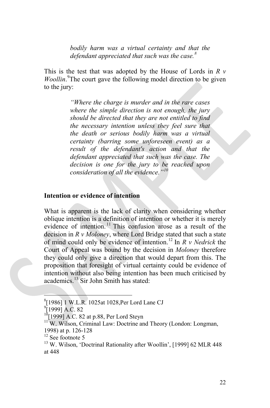*bodily harm was a virtual certainty and that the defendant appreciated that such was the case. [8](#page-21-0)*

This is the test that was adopted by the House of Lords in *R v* Woollin.<sup>[9](#page-21-1)</sup>The court gave the following model direction to be given to the jury:

> *"Where the charge is murder and in the rare cases where the simple direction is not enough, the jury should be directed that they are not entitled to find the necessary intention unless they feel sure that the death or serious bodily harm was a virtual certainty (barring some unforeseen event) as a result of the defendant's action and that the defendant appreciated that such was the case. The decision is one for the jury to be reached upon consideration of all the evidence."[10](#page-21-2)*

#### **Intention or evidence of intention**

What is apparent is the lack of clarity when considering whether oblique intention is a definition of intention or whether it is merely evidence of intention.<sup>[11](#page-21-3)</sup> This confusion arose as a result of the decision in *R v Moloney*, where Lord Bridge stated that such a state of mind could only be evidence of intention.[12](#page-21-4) In *R v Nedrick* the Court of Appeal was bound by the decision in *Moloney* therefore they could only give a direction that would depart from this. The proposition that foresight of virtual certainty could be evidence of intention without also being intention has been much criticised by academics.[13](#page-21-5) Sir John Smith has stated:

 <sup>8</sup> <sup>8</sup>[1986] 1 W.L.R. 1025at 1028,Per Lord Lane CJ<br><sup>9</sup>[1999] A.C. 82

<span id="page-21-0"></span>

<span id="page-21-2"></span><span id="page-21-1"></span><sup>[1999]</sup> A.C. 82 at p.88, Per Lord Steyn<br><sup>11</sup> W. Wilson, Criminal Law: Doctrine and Theory (London: Longman,

<span id="page-21-5"></span><span id="page-21-4"></span>

<span id="page-21-3"></span><sup>1998)</sup> at p. 126-128<br><sup>12</sup> See footnote 5<br><sup>13</sup> W. Wilson, 'Doctrinal Rationality after Woollin', [1999] 62 MLR 448 at 448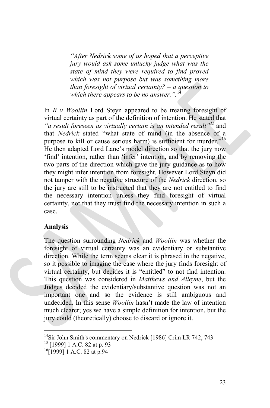*"After Nedrick some of us hoped that a perceptive jury would ask some unlucky judge what was the state of mind they were required to find proved which was not purpose but was something more than foresight of virtual certainty? – a question to which there appears to be no answer.".*[14](#page-22-0)

In *R v Woollin* Lord Steyn appeared to be treating foresight of virtual certainty as part of the definition of intention. He stated that *"a result foreseen as virtually certain is an intended result"[15](#page-22-1)* and that *Nedrick* stated "what state of mind (in the absence of a purpose to kill or cause serious harm) is sufficient for murder."<sup>[16](#page-22-2)</sup> He then adapted Lord Lane's model direction so that the jury now 'find' intention, rather than 'infer' intention, and by removing the two parts of the direction which gave the jury guidance as to how they might infer intention from foresight. However Lord Steyn did not tamper with the negative structure of the *Nedrick* direction, so the jury are still to be instructed that they are not entitled to find the necessary intention unless they find foresight of virtual certainty, not that they must find the necessary intention in such a case.

### **Analysis**

The question surrounding *Nedrick* and *Woollin* was whether the foresight of virtual certainty was an evidentiary or substantive direction. While the term seems clear it is phrased in the negative, so it possible to imagine the case where the jury finds foresight of virtual certainty, but decides it is "entitled" to not find intention. This question was considered in *Matthews and Alleyne*, but the Judges decided the evidentiary/substantive question was not an important one and so the evidence is still ambiguous and undecided. In this sense *Woollin* hasn't made the law of intention much clearer; yes we have a simple definition for intention, but the jury could (theoretically) choose to discard or ignore it.

<span id="page-22-0"></span><sup>&</sup>lt;sup>14</sup>Sir John Smith's commentary on Nedrick [1986] Crim LR 742, 743<br><sup>15</sup> [1999] 1 A.C. 82 at p. 93<br><sup>16</sup>[1999] 1 A.C. 82 at p.94

<span id="page-22-1"></span>

<span id="page-22-2"></span>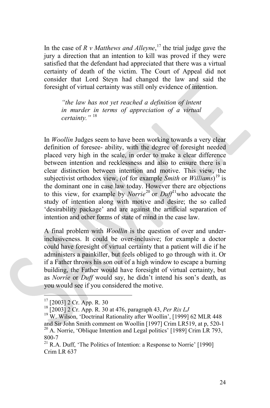In the case of *R v Matthews and Alleyne*, [17](#page-23-0) the trial judge gave the jury a direction that an intention to kill was proved if they were satisfied that the defendant had appreciated that there was a virtual certainty of death of the victim. The Court of Appeal did not consider that Lord Steyn had changed the law and said the foresight of virtual certainty was still only evidence of intention.

*"the law has not yet reached a definition of intent in murder in terms of appreciation of a virtual certainty."* [18](#page-23-1)

In *Woollin* Judges seem to have been working towards a very clear definition of foresee- ability, with the degree of foresight needed placed very high in the scale, in order to make a clear difference between intention and recklessness and also to ensure there is a clear distinction between intention and motive. This view, the subjectivist orthodox view, (of for example *Smith* or *Williams*) [19](#page-23-2) is the dominant one in case law today. However there are objections to this view, for example by *Norrie*[20](#page-23-3) or *Duff*[21](#page-23-4)who advocate the study of intention along with motive and desire; the so called 'desirability package' and are against the artificial separation of intention and other forms of state of mind in the case law.

A final problem with *Woollin* is the question of over and underinclusiveness. It could be over-inclusive; for example a doctor could have foresight of virtual certainty that a patient will die if he administers a painkiller, but feels obliged to go through with it. Or if a Father throws his son out of a high window to escape a burning building, the Father would have foresight of virtual certainty, but as *Norrie* or *Duff* would say, he didn't intend his son's death, as you would see if you considered the motive.

<span id="page-23-2"></span><span id="page-23-1"></span>

<span id="page-23-0"></span><sup>&</sup>lt;sup>17</sup> [2003] 2 Cr. App. R. 30<br><sup>18</sup> [2003] 2 Cr. App. R. 30 at 476, paragraph 43, *Per Rix LJ*<br><sup>19</sup> W. Wilson, 'Doctrinal Rationality after Woollin', [1999] 62 MLR 448 and Sir John Smith comment on Woollin [1997] Crim LR519, at p, 520-1 <sup>20</sup> A. Norrie, 'Oblique Intention and Legal politics' [1989] Crim LR 793, 800-7<br><sup>21</sup> R.A. Duff, 'The Politics of Intention: a Response to Norrie' [1990]

<span id="page-23-4"></span><span id="page-23-3"></span>Crim LR 637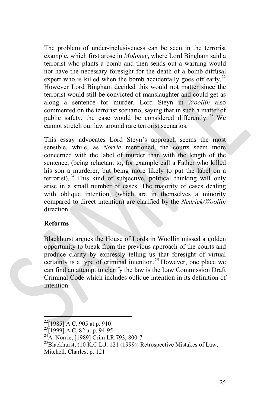The problem of under-inclusiveness can be seen in the terrorist example, which first arose in *Moloney*, where Lord Bingham said a terrorist who plants a bomb and then sends out a warning would not have the necessary foresight for the death of a bomb diffusal expert who is killed when the bomb accidentally goes off early.<sup>[22](#page-24-0)</sup> However Lord Bingham decided this would not matter since the terrorist would still be convicted of manslaughter and could get as along a sentence for murder. Lord Steyn in *Woollin* also commented on the terrorist scenario, saying that in such a matter of public safety, the case would be considered differently.<sup>[23](#page-24-1)</sup> We cannot stretch our law around rare terrorist scenarios.

This essay advocates Lord Steyn's approach seems the most sensible, while, as *Norrie* mentioned, the courts seem more concerned with the label of murder than with the length of the sentence, (being reluctant to, for example call a Father who killed his son a murderer, but being more likely to put the label on a terrorist). <sup>[24](#page-24-2)</sup> This kind of subjective, political thinking will only arise in a small number of cases. The majority of cases dealing with oblique intention, (which are in themselves a minority compared to direct intention) are clarified by the *Nedrick/Woollin* direction.

### **Reforms**

Blackhurst argues the House of Lords in Woollin missed a golden opportunity to break from the previous approach of the courts and produce clarity by expressly telling us that foresight of virtual certainty is a type of criminal intention.<sup>[25](#page-24-3)</sup> However, one place we can find an attempt to clarify the law is the Law Commission Draft Criminal Code which includes oblique intention in its definition of intention.

<span id="page-24-1"></span>

<span id="page-24-3"></span><span id="page-24-2"></span>

<span id="page-24-0"></span><sup>&</sup>lt;sup>22</sup>[1985] A.C. 905 at p. 910<br><sup>23</sup>[1999] A.C. 82 at p. 94-95<br><sup>24</sup>A. Norrie, [1989] Crim LR 793, 800-7<br><sup>25</sup>Blackhurst, (10 K.C.L.J. 121 (1999)) Retrospective Mistakes of Law; Mitchell, Charles, p. 121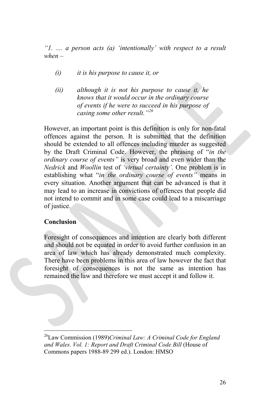*"1. .... a person acts (a) 'intentionally' with respect to a result when –*

- *(i) it is his purpose to cause it, or*
- *(ii) although it is not his purpose to cause it, he knows that it would occur in the ordinary course of events if he were to succeed in his purpose of casing some other result."[26](#page-25-0)*

However, an important point is this definition is only for non-fatal offences against the person. It is submitted that the definition should be extended to all offences including murder as suggested by the Draft Criminal Code. However, the phrasing of "*in the ordinary course of events"* is very broad and even wider than the *Nedrick* and *Woollin* test of *'virtual certainty'.* One problem is in establishing what "*in the ordinary course of events"* means in every situation. Another argument that can be advanced is that it may lead to an increase in convictions of offences that people did not intend to commit and in some case could lead to a miscarriage of justice.

### **Conclusion**

Foresight of consequences and intention are clearly both different and should not be equated in order to avoid further confusion in an area of law which has already demonstrated much complexity. There have been problems in this area of law however the fact that foresight of consequences is not the same as intention has remained the law and therefore we must accept it and follow it.

<span id="page-25-0"></span> <sup>26</sup>Law Commission (1989)*Criminal Law: <sup>A</sup> Criminal Code for England and Wales. Vol. 1: Report and Draft Criminal Code Bill* (House of Commons papers 1988-89 299 ed.). London: HMSO